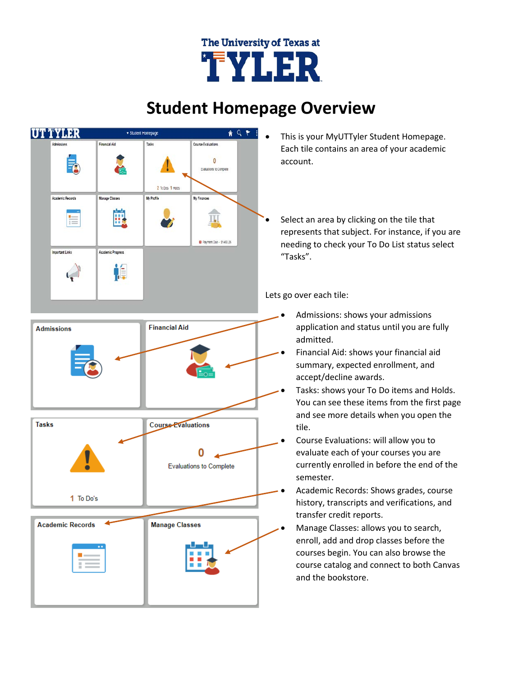## The University of Texas at **TYLER**

## **Student Homepage Overview**



**Financial Aid Admissions Tasks Course Evaluations** 0 Evaluations to Complete 1 To Do's **Academic Records Manage Classes** 

- This is your MyUTTyler Student Homepage. Each tile contains an area of your academic account.
- Select an area by clicking on the tile that represents that subject. For instance, if you are needing to check your To Do List status select "Tasks".

Lets go over each tile:

- Admissions: shows your admissions application and status until you are fully admitted.
- Financial Aid: shows your financial aid summary, expected enrollment, and accept/decline awards.
- Tasks: shows your To Do items and Holds. You can see these items from the first page and see more details when you open the tile.
- Course Evaluations: will allow you to evaluate each of your courses you are currently enrolled in before the end of the semester.
- Academic Records: Shows grades, course history, transcripts and verifications, and transfer credit reports.
- Manage Classes: allows you to search, enroll, add and drop classes before the courses begin. You can also browse the course catalog and connect to both Canvas and the bookstore.